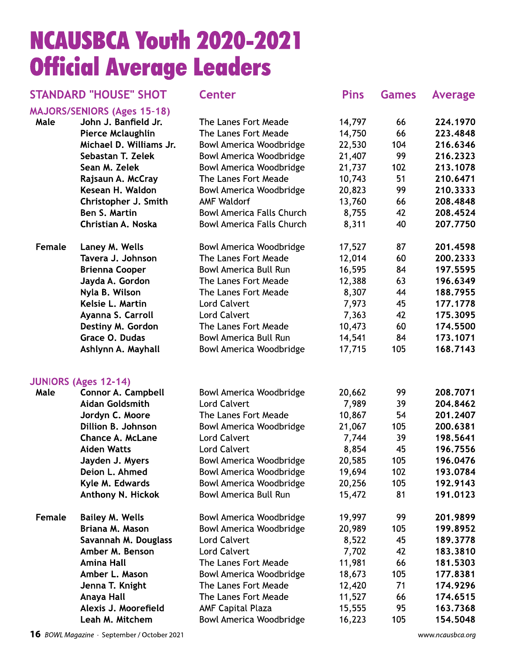# **NCAUSBCA Youth 2020-2021 Official Average Leaders**

**Center** 

**Pins** 

**Games** 

Average

## **STANDARD "HOUSE" SHOT**

|        | <b>MAJORS/SENIORS (Ages 15-18)</b> |                                  |        |     |          |
|--------|------------------------------------|----------------------------------|--------|-----|----------|
| Male   | John J. Banfield Jr.               | The Lanes Fort Meade             | 14,797 | 66  | 224.1970 |
|        | <b>Pierce Mclaughlin</b>           | The Lanes Fort Meade             | 14,750 | 66  | 223.4848 |
|        | Michael D. Williams Jr.            | <b>Bowl America Woodbridge</b>   | 22,530 | 104 | 216.6346 |
|        | Sebastan T. Zelek                  | <b>Bowl America Woodbridge</b>   | 21,407 | 99  | 216.2323 |
|        | Sean M. Zelek                      | <b>Bowl America Woodbridge</b>   | 21,737 | 102 | 213.1078 |
|        | Rajsaun A. McCray                  | The Lanes Fort Meade             | 10,743 | 51  | 210.6471 |
|        | Kesean H. Waldon                   | <b>Bowl America Woodbridge</b>   | 20,823 | 99  | 210.3333 |
|        | Christopher J. Smith               | <b>AMF Waldorf</b>               | 13,760 | 66  | 208.4848 |
|        | Ben S. Martin                      | <b>Bowl America Falls Church</b> | 8,755  | 42  | 208.4524 |
|        | Christian A. Noska                 | <b>Bowl America Falls Church</b> | 8,311  | 40  | 207.7750 |
| Female | Laney M. Wells                     | Bowl America Woodbridge          | 17,527 | 87  | 201.4598 |
|        | Tavera J. Johnson                  | The Lanes Fort Meade             | 12,014 | 60  | 200.2333 |
|        | <b>Brienna Cooper</b>              | <b>Bowl America Bull Run</b>     | 16,595 | 84  | 197.5595 |
|        | Jayda A. Gordon                    | The Lanes Fort Meade             | 12,388 | 63  | 196.6349 |
|        | Nyla B. Wilson                     | The Lanes Fort Meade             | 8,307  | 44  | 188.7955 |
|        | Kelsie L. Martin                   | <b>Lord Calvert</b>              | 7,973  | 45  | 177.1778 |
|        | Ayanna S. Carroll                  | <b>Lord Calvert</b>              | 7,363  | 42  | 175.3095 |
|        | Destiny M. Gordon                  | The Lanes Fort Meade             | 10,473 | 60  | 174.5500 |
|        | Grace O. Dudas                     | <b>Bowl America Bull Run</b>     | 14,541 | 84  | 173.1071 |
|        | Ashlynn A. Mayhall                 | <b>Bowl America Woodbridge</b>   | 17,715 | 105 | 168.7143 |
|        | <b>JUNIORS (Ages 12-14)</b>        |                                  |        |     |          |
| Male   | <b>Connor A. Campbell</b>          | <b>Bowl America Woodbridge</b>   | 20,662 | 99  | 208.7071 |
|        | Aidan Goldsmith                    | <b>Lord Calvert</b>              | 7,989  | 39  | 204.8462 |
|        | Jordyn C. Moore                    | The Lanes Fort Meade             | 10,867 | 54  | 201.2407 |
|        | Dillion B. Johnson                 | <b>Bowl America Woodbridge</b>   | 21,067 | 105 | 200.6381 |
|        | <b>Chance A. McLane</b>            | <b>Lord Calvert</b>              | 7,744  | 39  | 198.5641 |
|        | <b>Aiden Watts</b>                 | <b>Lord Calvert</b>              | 8,854  | 45  | 196.7556 |
|        | Jayden J. Myers                    | <b>Bowl America Woodbridge</b>   | 20,585 | 105 | 196.0476 |
|        | Deion L. Ahmed                     | <b>Bowl America Woodbridge</b>   | 19,694 | 102 | 193.0784 |
|        | Kyle M. Edwards                    | Bowl America Woodbridge          | 20,256 | 105 | 192.9143 |
|        | Anthony N. Hickok                  | <b>Bowl America Bull Run</b>     | 15,472 | 81  | 191.0123 |
| Female | <b>Bailey M. Wells</b>             | <b>Bowl America Woodbridge</b>   | 19,997 | 99  | 201.9899 |
|        | Briana M. Mason                    | Bowl America Woodbridge          | 20,989 | 105 | 199.8952 |
|        | Savannah M. Douglass               | <b>Lord Calvert</b>              | 8,522  | 45  | 189.3778 |
|        | Amber M. Benson                    | <b>Lord Calvert</b>              | 7,702  | 42  | 183.3810 |
|        | <b>Amina Hall</b>                  | The Lanes Fort Meade             | 11,981 | 66  | 181.5303 |
|        | Amber L. Mason                     | <b>Bowl America Woodbridge</b>   | 18,673 | 105 | 177.8381 |
|        | Jenna T. Knight                    | The Lanes Fort Meade             | 12,420 | 71  | 174.9296 |
|        | Anaya Hall                         | The Lanes Fort Meade             | 11,527 | 66  | 174.6515 |
|        | Alexis J. Moorefield               | <b>AMF Capital Plaza</b>         | 15,555 | 95  | 163.7368 |
|        | Leah M. Mitchem                    | <b>Bowl America Woodbridge</b>   | 16,223 | 105 | 154.5048 |

16 BOWL Magazine · September / October 2021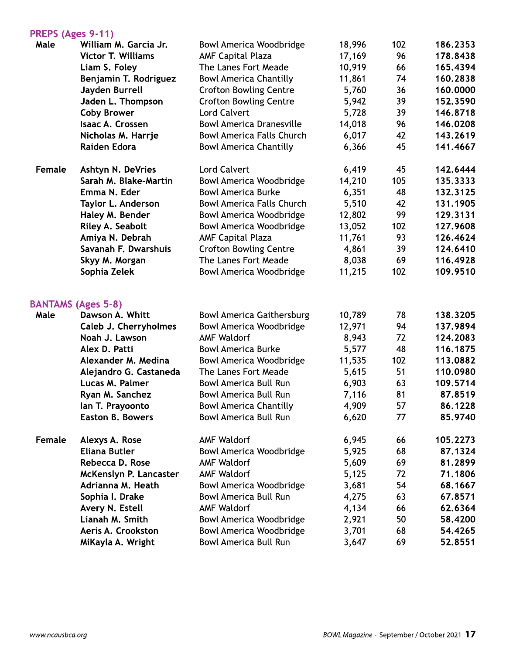### PRFPS (Ages 9-11)

| <b>FNLFJ (Ages 7-TT)</b> |                           |                                  |        |     |          |
|--------------------------|---------------------------|----------------------------------|--------|-----|----------|
| Male                     | William M. Garcia Jr.     | Bowl America Woodbridge          | 18,996 | 102 | 186.2353 |
|                          | <b>Victor T. Williams</b> | <b>AMF Capital Plaza</b>         | 17,169 | 96  | 178.8438 |
|                          | Liam S. Foley             | The Lanes Fort Meade             | 10,919 | 66  | 165.4394 |
|                          | Benjamin T. Rodriguez     | <b>Bowl America Chantilly</b>    | 11,861 | 74  | 160.2838 |
|                          | Jayden Burrell            | <b>Crofton Bowling Centre</b>    | 5,760  | 36  | 160.0000 |
|                          | Jaden L. Thompson         | <b>Crofton Bowling Centre</b>    | 5,942  | 39  | 152.3590 |
|                          | <b>Coby Brower</b>        | <b>Lord Calvert</b>              | 5,728  | 39  | 146.8718 |
|                          | Isaac A. Crossen          | <b>Bowl America Dranesville</b>  | 14,018 | 96  | 146.0208 |
|                          | Nicholas M. Harrje        | <b>Bowl America Falls Church</b> | 6,017  | 42  | 143.2619 |
|                          | Raiden Edora              | <b>Bowl America Chantilly</b>    | 6,366  | 45  | 141.4667 |
| Female                   | <b>Ashtyn N. DeVries</b>  | <b>Lord Calvert</b>              | 6,419  | 45  | 142.6444 |
|                          | Sarah M. Blake-Martin     | <b>Bowl America Woodbridge</b>   | 14,210 | 105 | 135.3333 |
|                          | Emma N. Eder              | <b>Bowl America Burke</b>        | 6,351  | 48  | 132.3125 |
|                          | Taylor L. Anderson        | <b>Bowl America Falls Church</b> | 5,510  | 42  | 131.1905 |
|                          | Haley M. Bender           | <b>Bowl America Woodbridge</b>   | 12,802 | 99  | 129.3131 |
|                          | Riley A. Seabolt          | <b>Bowl America Woodbridge</b>   | 13,052 | 102 | 127.9608 |
|                          | Amiya N. Debrah           | <b>AMF Capital Plaza</b>         | 11,761 | 93  | 126.4624 |
|                          | Savanah F. Dwarshuis      | <b>Crofton Bowling Centre</b>    | 4,861  | 39  | 124.6410 |
|                          | Skyy M. Morgan            | The Lanes Fort Meade             | 8,038  | 69  | 116.4928 |
|                          | Sophia Zelek              | <b>Bowl America Woodbridge</b>   | 11,215 | 102 | 109.9510 |
|                          | <b>BANTAMS (Ages 5-8)</b> |                                  |        |     |          |
| Male                     | Dawson A. Whitt           | <b>Bowl America Gaithersburg</b> | 10,789 | 78  | 138.3205 |
|                          | Caleb J. Cherryholmes     | <b>Bowl America Woodbridge</b>   | 12,971 | 94  | 137.9894 |
|                          | Noah J. Lawson            | <b>AMF Waldorf</b>               | 8,943  | 72  | 124.2083 |
|                          | Alex D. Patti             | <b>Bowl America Burke</b>        | 5,577  | 48  | 116.1875 |
|                          | Alexander M. Medina       | <b>Bowl America Woodbridge</b>   | 11,535 | 102 | 113.0882 |
|                          | Alejandro G. Castaneda    | The Lanes Fort Meade             | 5,615  | 51  | 110.0980 |
|                          | Lucas M. Palmer           | <b>Bowl America Bull Run</b>     | 6,903  | 63  | 109.5714 |
|                          | Ryan M. Sanchez           | <b>Bowl America Bull Run</b>     | 7,116  | 81  | 87.8519  |
|                          | lan T. Prayoonto          | <b>Bowl America Chantilly</b>    | 4,909  | 57  | 86.1228  |
|                          | <b>Easton B. Bowers</b>   | <b>Bowl America Bull Run</b>     | 6,620  | 77  | 85.9740  |
| Female                   | Alexys A. Rose            | <b>AMF Waldorf</b>               | 6,945  | 66  | 105.2273 |
|                          | <b>Eliana Butler</b>      | <b>Bowl America Woodbridge</b>   | 5,925  | 68  | 87.1324  |
|                          | Rebecca D. Rose           | <b>AMF Waldorf</b>               | 5,609  | 69  | 81.2899  |
|                          | McKenslyn P. Lancaster    | <b>AMF Waldorf</b>               | 5,125  | 72  | 71.1806  |
|                          | Adrianna M. Heath         | Bowl America Woodbridge          | 3,681  | 54  | 68.1667  |
|                          | Sophia I. Drake           | <b>Bowl America Bull Run</b>     | 4,275  | 63  | 67.8571  |
|                          | Avery N. Estell           | <b>AMF Waldorf</b>               | 4,134  | 66  | 62.6364  |
|                          | Lianah M. Smith           | <b>Bowl America Woodbridge</b>   | 2,921  | 50  | 58.4200  |
|                          | Aeris A. Crookston        | <b>Bowl America Woodbridge</b>   | 3,701  | 68  | 54.4265  |
|                          | MiKayla A. Wright         | <b>Bowl America Bull Run</b>     | 3,647  | 69  | 52.8551  |